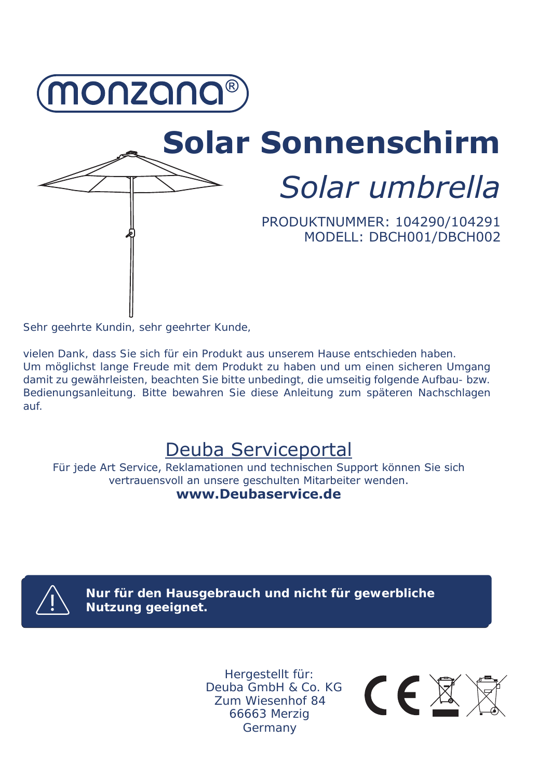

# **Solar Sonnenschirm** *Solar umbrella*

PRODUKTNUMMER: 104290/104291 MODELL: DBCH001/DBCH002

Sehr geehrte Kundin, sehr geehrter Kunde,

vielen Dank, dass Sie sich für ein Produkt aus unserem Hause entschieden haben. Um möglichst lange Freude mit dem Produkt zu haben und um einen sicheren Umgang damit zu gewährleisten, beachten Sie bitte unbedingt, die umseitig folgende Aufbau- bzw. Bedienungsanleitung. Bitte bewahren Sie diese Anleitung zum späteren Nachschlagen auf.

# Deuba Serviceportal

Für jede Art Service, Reklamationen und technischen Support können Sie sich vertrauensvoll an unsere geschulten Mitarbeiter wenden. **www.Deubaservice.de**



**Nur für den Hausgebrauch und nicht für gewerbliche Nutzung geeignet.**

> Hergestellt für: Deuba GmbH & Co. KG Zum Wiesenhof 84 66663 Merzig Germany

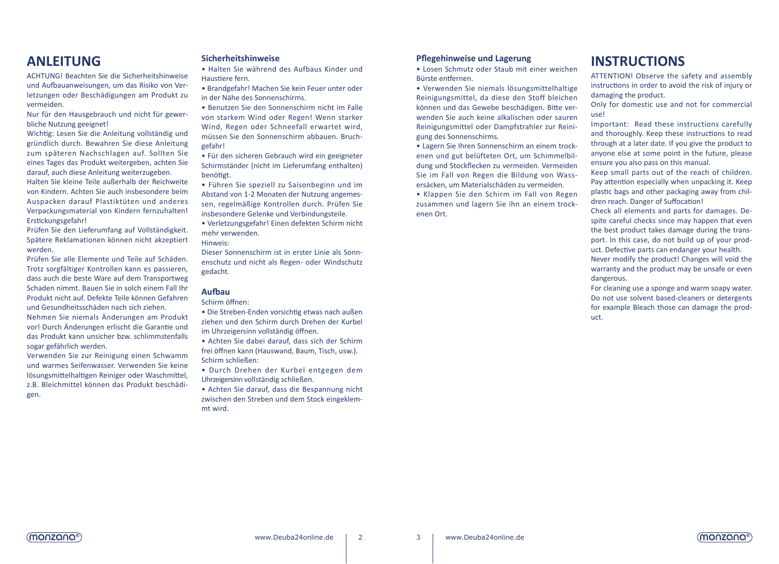# **ANLEITUNG**

ACHTUNG! Beachten Sie die Sicherheitshinweise und Aufbauanweisungen, um das Risiko von Verletzungen oder Beschädigungen am Produkt zu vermeiden.

Nur für den Hausgebrauch und nicht für gewerbliche Nutzung geeignet!

Wichtig: Lesen Sie die Anleitung vollständig und gründlich durch. Bewahren Sie diese Anleitung zum späteren Nachschlagen auf. Sollten Sie eines Tages das Produkt weitergeben, achten Sie darauf, auch diese Anleitung weiterzugeben.

Halten Sie kleine Teile außerhalb der Reichweite von Kindern. Achten Sie auch insbesondere beim Auspacken darauf Plastiktüten und anderes Verpackungsmaterial von Kindern fernzuhalten! Erstickungsgefahr!

Prüfen Sie den Lieferumfang auf Vollständigkeit. Spätere Reklamationen können nicht akzeptiert werden.

Prüfen Sie alle Elemente und Teile auf Schäden. Trotz sorgfältiger Kontrollen kann es passieren, dass auch die beste Ware auf dem Transportweg Schaden nimmt. Bauen Sie in solch einem Fall Ihr Produkt nicht auf. Defekte Teile können Gefahren und Gesundheitsschäden nach sich ziehen.

Nehmen Sie niemals Änderungen am Produkt vor! Durch Änderungen erlischt die Garantie und das Produkt kann unsicher bzw. schlimmstenfalls sogar gefährlich werden.

Verwenden Sie zur Reinigung einen Schwamm und warmes Seifenwasser. Verwenden Sie keine lösungsmittelhaltigen Reiniger oder Waschmittel, z.B. Bleichmittel können das Produkt beschädigen.

## **Sicherheitshinweise**

• Halten Sie während des Aufbaus Kinder und Haustiere fern.

• Brandgefahr! Machen Sie kein Feuer unter oder in der Nähe des Sonnenschirms.

• Benutzen Sie den Sonnenschirm nicht im Falle von starkem Wind oder Regen! Wenn starker Wind, Regen oder Schneefall erwartet wird, müssen Sie den Sonnenschirm abbauen. Bruchgefahr!

• Für den sicheren Gebrauch wird ein geeigneter Schirmständer (nicht im Lieferumfang enthalten) benötigt.

• Führen Sie speziell zu Saisonbeginn und im Abstand von 1-2 Monaten der Nutzung angemessen, regelmäßige Kontrollen durch. Prüfen Sie insbesondere Gelenke und Verbindungsteile.

• Verletzungsgefahr! Einen defekten Schirm nicht mehr verwenden.

Hinweis:

Dieser Sonnenschirm ist in erster Linie als Sonnenschutz und nicht als Regen- oder Windschutz gedacht.

# **Aufbau**

Schirm öffnen:

• Die Streben-Enden vorsichtig etwas nach außen ziehen und den Schirm durch Drehen der Kurbel im Uhrzeigersinn vollständig öffnen.

• Achten Sie dabei darauf, dass sich der Schirm frei öffnen kann (Hauswand, Baum, Tisch, usw.). Schirm schließen:

• Durch Drehen der Kurbel entgegen dem Uhrzeigersinn vollständig schließen.

• Achten Sie darauf, dass die Bespannung nicht zwischen den Streben und dem Stock eingeklemmt wird.

# **Pflegehinweise und Lagerung**

• Losen Schmutz oder Staub mit einer weichen Bürste entfernen.

• Verwenden Sie niemals lösungsmittelhaltige Reinigungsmittel, da diese den Stoff bleichen können und das Gewebe beschädigen. Bitte verwenden Sie auch keine alkalischen oder sauren Reinigungsmittel oder Dampfstrahler zur Reinigung des Sonnenschirms.

• Lagern Sie Ihren Sonnenschirm an einem trockenen und gut belüfteten Ort, um Schimmelbildung und Stockflecken zu vermeiden. Vermeiden Sie im Fall von Regen die Bildung von Wassersäcken, um Materialschäden zu vermeiden.

• Klappen Sie den Schirm im Fall von Regen zusammen und lagern Sie ihn an einem trockenen Ort.

# **INSTRUCTIONS**

ATTENTION! Observe the safety and assembly instructions in order to avoid the risk of injury or damaging the product.

Only for domestic use and not for commercial use!

Important: Read these instructions carefully and thoroughly. Keep these instructions to read through at a later date. If you give the product to anyone else at some point in the future, please ensure you also pass on this manual.

Keep small parts out of the reach of children. Pay attention especially when unpacking it. Keep plastic bags and other packaging away from children reach. Danger of Suffocation!

Check all elements and parts for damages. Despite careful checks since may happen that even the best product takes damage during the transport. In this case, do not build up of your product. Defective parts can endanger your health.

Never modify the product! Changes will void the warranty and the product may be unsafe or even dangerous.

For cleaning use a sponge and warm soapy water. Do not use solvent based-cleaners or detergents for example Bleach those can damage the product.



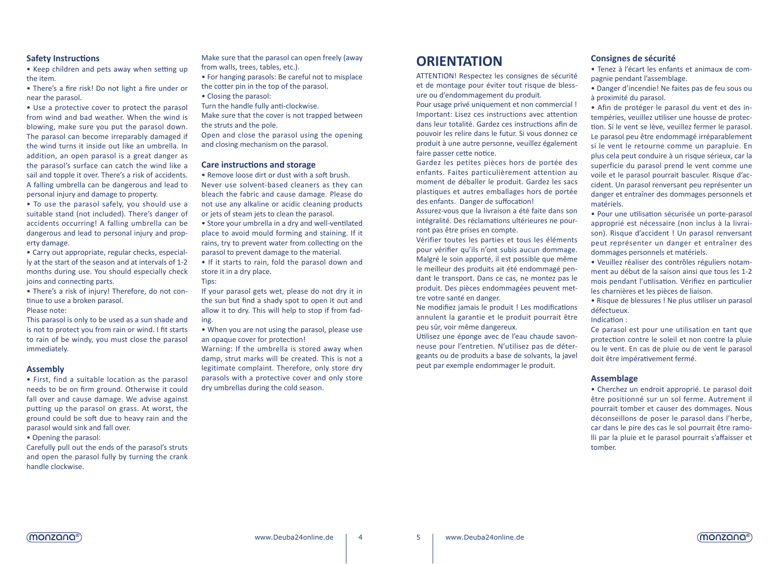# **Safety Instructions**

• Keep children and pets away when setting up the item.

• There's a fire risk! Do not light a fire under or near the parasol.

• Use a protective cover to protect the parasol from wind and bad weather. When the wind is blowing, make sure you put the parasol down. The parasol can become irreparably damaged if the wind turns it inside out like an umbrella. In addition, an open parasol is a great danger as the parasol's surface can catch the wind like a sail and topple it over. There's a risk of accidents. A falling umbrella can be dangerous and lead to personal injury and damage to property.

• To use the parasol safely, you should use a suitable stand (not included). There's danger of accidents occurring! A falling umbrella can be dangerous and lead to personal injury and property damage.

• Carry out appropriate, regular checks, especially at the start of the season and at intervals of 1-2 months during use. You should especially check joins and connecting parts.

• There's a risk of injury! Therefore, do not continue to use a broken parasol.

# Please note:

This parasol is only to be used as a sun shade and is not to protect you from rain or wind. I fit starts to rain of be windy, you must close the parasol immediately.

## **Assembly**

• First, find a suitable location as the parasol needs to be on firm ground. Otherwise it could fall over and cause damage. We advise against putting up the parasol on grass. At worst, the ground could be soft due to heavy rain and the parasol would sink and fall over.

• Opening the parasol:

Carefully pull out the ends of the parasol's struts and open the parasol fully by turning the crank handle clockwise.

Make sure that the parasol can open freely (away from walls, trees, tables, etc.).

• For hanging parasols: Be careful not to misplace the cotter pin in the top of the parasol.

• Closing the parasol: Turn the handle fully anti-clockwise.

Make sure that the cover is not trapped between the struts and the pole.

Open and close the parasol using the opening and closing mechanism on the parasol.

## **Care instructions and storage**

Tips:

• Remove loose dirt or dust with a soft brush. Never use solvent-based cleaners as they can bleach the fabric and cause damage. Please do not use any alkaline or acidic cleaning products or jets of steam jets to clean the parasol.

• Store your umbrella in a dry and well-ventilated place to avoid mould forming and staining. If it rains, try to prevent water from collecting on the parasol to prevent damage to the material.

• If it starts to rain, fold the parasol down and store it in a dry place.

If your parasol gets wet, please do not dry it in the sun but find a shady spot to open it out and allow it to dry. This will help to stop if from fading.

• When you are not using the parasol, please use an opaque cover for protection!

Warning: If the umbrella is stored away when damp, strut marks will be created. This is not a legitimate complaint. Therefore, only store dry parasols with a protective cover and only store dry umbrellas during the cold season.

# **ORIENTATION**

ATTENTION! Respectez les consignes de sécurité et de montage pour éviter tout risque de blessure ou d'endommagement du produit.

Pour usage privé uniquement et non commercial ! Important: Lisez ces instructions avec attention dans leur totalité. Gardez ces instructions afin de pouvoir les relire dans le futur. Si vous donnez ce produit à une autre personne, veuillez également faire passer cette notice.

Gardez les petites pièces hors de portée des enfants. Faites particulièrement attention au moment de déballer le produit. Gardez les sacs plastiques et autres emballages hors de portée des enfants. Danger de suffocation!

Assurez-vous que la livraison a été faite dans son intégralité. Des réclamations ultérieures ne pourront pas être prises en compte.

Vérifier toutes les parties et tous les éléments pour vérifier qu'ils n'ont subis aucun dommage. Malgré le soin apporté, il est possible que même le meilleur des produits ait été endommagé pendant le transport. Dans ce cas, ne montez pas le produit. Des pièces endommagées peuvent mettre votre santé en danger.

Ne modifiez jamais le produit ! Les modifications annulent la garantie et le produit pourrait être peu sûr, voir même dangereux.

Utilisez une éponge avec de l'eau chaude savonneuse pour l'entretien. N'utilisez pas de détergeants ou de produits a base de solvants, la javel peut par exemple endommager le produit.

# **Consignes de sécurité**

• Tenez à l'écart les enfants et animaux de compagnie pendant l'assemblage.

• Danger d'incendie! Ne faites pas de feu sous ou à proximité du parasol.

• Afin de protéger le parasol du vent et des intempéries, veuillez utiliser une housse de protection. Si le vent se lève, veuillez fermer le parasol. Le parasol peu être endommagé irréparablement si le vent le retourne comme un parapluie. En plus cela peut conduire à un risque sérieux, car la superficie du parasol prend le vent comme une voile et le parasol pourrait basculer. Risque d'accident. Un parasol renversant peu représenter un danger et entraîner des dommages personnels et matériels.

• Pour une utilisation sécurisée un porte-parasol approprié est nécessaire (non inclus à la livraison). Risque d'accident ! Un parasol renversant peut représenter un danger et entraîner des dommages personnels et matériels.

• Veuillez réaliser des contrôles réguliers notamment au début de la saison ainsi que tous les 1-2 mois pendant l'utilisation. Vérifiez en particulier les charnières et les pièces de liaison.

• Risque de blessures ! Ne plus utiliser un parasol défectueux.

Indication :

Ce parasol est pour une utilisation en tant que protection contre le soleil et non contre la pluie ou le vent. En cas de pluie ou de vent le parasol doit être impérativement fermé.

## **Assemblage**

• Cherchez un endroit approprié. Le parasol doit être positionné sur un sol ferme. Autrement il pourrait tomber et causer des dommages. Nous déconseillons de poser le parasol dans l'herbe, car dans le pire des cas le sol pourrait être ramolli par la pluie et le parasol pourrait s'affaisser et tomber.

(monzana®)

4 5

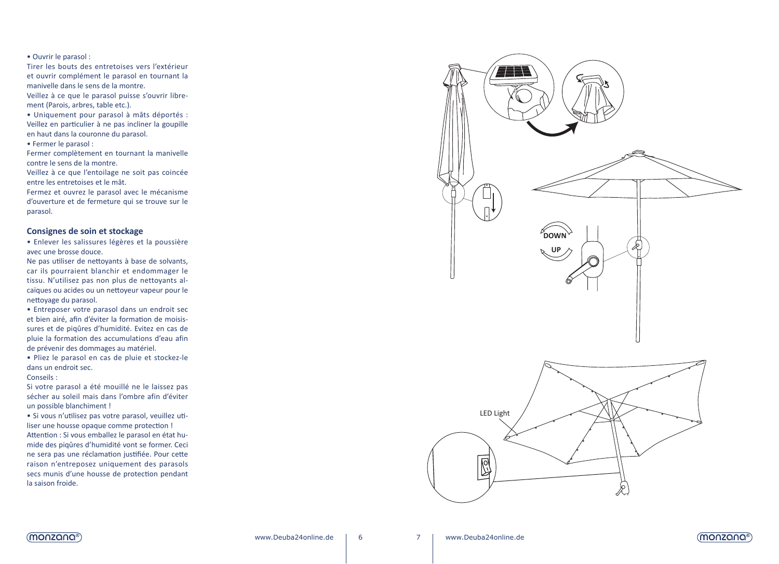#### • Ouvrir le parasol :

Tirer les bouts des entretoises vers l'extérieur et ouvrir complément le parasol en tournant la manivelle dans le sens de la montre. Veillez à ce que le parasol puisse s'ouvrir libre ment (Parois, arbres, table etc.).

• Uniquement pour parasol à mâts déportés : Veillez en particulier à ne pas incliner la goupille en haut dans la couronne du parasol.

• Fermer le parasol :

Fermer complètement en tournant la manivelle contre le sens de la montre.

Veillez à ce que l'entoilage ne soit pas coincée entre les entretoises et le mât.

Fermez et ouvrez le parasol avec le mécanisme d'ouverture et de fermeture qui se trouve sur le parasol.

# **Consignes de soin et stockage**

• Enlever les salissures légères et la poussière avec une brosse douce.

Ne pas utiliser de nettoyants à base de solvants, car ils pourraient blanchir et endommager le tissu. N'utilisez pas non plus de nettoyants al caïques ou acides ou un nettoyeur vapeur pour le nettoyage du parasol.

• Entreposer votre parasol dans un endroit sec et bien airé, afin d'éviter la formation de moisis sures et de piqûres d'humidité. Evitez en cas de pluie la formation des accumulations d'eau afin de prévenir des dommages au matériel.

• Pliez le parasol en cas de pluie et stockez-le dans un endroit sec.

Conseils :

Si votre parasol a été mouillé ne le laissez pas sécher au soleil mais dans l'ombre afin d'éviter un possible blanchiment !

• Si vous n'utilisez pas votre parasol, veuillez uti liser une housse opaque comme protection ! Attention : Si vous emballez le parasol en état hu mide des piqûres d'humidité vont se former. Ceci ne sera pas une réclamation justifiée. Pour cette raison n'entreposez uniquement des parasols secs munis d'une housse de protection pendant la saison froide.





6

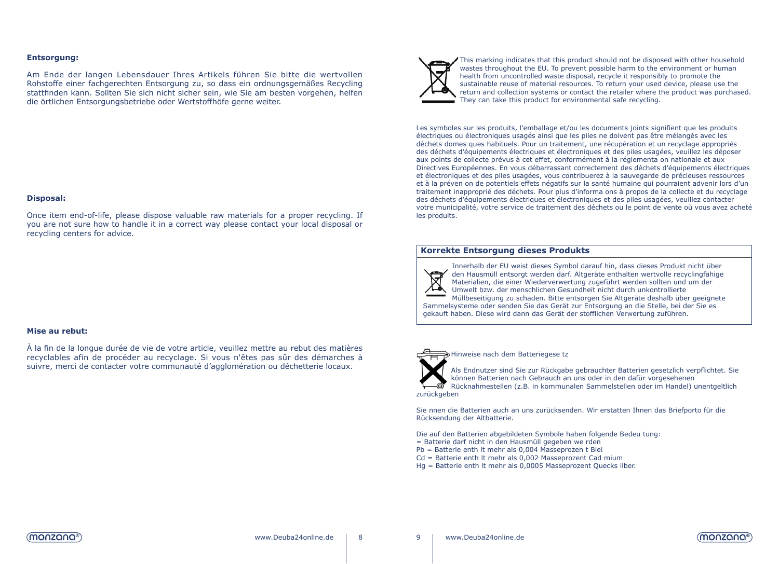## **Entsorgung:**

Am Ende der langen Lebensdauer Ihres Artikels führen Sie bitte die wertvollen Rohstoffe einer fachgerechten Entsorgung zu, so dass ein ordnungsgemäßes Recycling stattfinden kann. Sollten Sie sich nicht sicher sein, wie Sie am besten vorgehen, helfen die örtlichen Entsorgungsbetriebe oder Wertstoffhöfe gerne weiter.

## **Disposal:**

Once item end-of-life, please dispose valuable raw materials for a proper recycling. If you are not sure how to handle it in a correct way please contact your local disposal or recycling centers for advice.

## **Mise au rebut:**

À la fin de la longue durée de vie de votre article, veuillez mettre au rebut des matières recyclables afin de procéder au recyclage. Si vous n'êtes pas sûr des démarches à suivre, merci de contacter votre communauté d'agglomération ou déchetterie locaux.



This marking indicates that this product should not be disposed with other household wastes throughout the EU. To prevent possible harm to the environment or human health from uncontrolled waste disposal, recycle it responsibly to promote the sustainable reuse of material resources. To return your used device, please use the return and collection systems or contact the retailer where the product was purchased. They can take this product for environmental safe recycling.

Les symboles sur les produits, l'emballage et/ou les documents joints signifient que les produits électriques ou électroniques usagés ainsi que les piles ne doivent pas être mélangés avec les déchets domes ques habituels. Pour un traitement, une récupération et un recyclage appropriés des déchets d'équipements électriques et électroniques et des piles usagées, veuillez les déposer aux points de collecte prévus à cet effet, conformément à la réglementa on nationale et aux Directives Européennes. En vous débarrassant correctement des déchets d'équipements électriques et électroniques et des piles usagées, vous contribuerez à la sauvegarde de précieuses ressources et à la préven on de potentiels effets négatifs sur la santé humaine qui pourraient advenir lors d'un traitement inapproprié des déchets. Pour plus d'informa ons à propos de la collecte et du recyclage des déchets d'équipements électriques et électroniques et des piles usagées, veuillez contacter votre municipalité, votre service de traitement des déchets ou le point de vente où vous avez acheté les produits.

## **Korrekte Entsorgung dieses Produkts**



Innerhalb der EU weist dieses Symbol darauf hin, dass dieses Produkt nicht über den Hausmüll entsorgt werden darf. Altgeräte enthalten wertvolle recyclingfähige Materialien, die einer Wiederverwertung zugeführt werden sollten und um der Umwelt bzw. der menschlichen Gesundheit nicht durch unkontrollierte

Müllbeseitigung zu schaden. Bitte entsorgen Sie Altgeräte deshalb über geeignete Sammelsysteme oder senden Sie das Gerät zur Entsorgung an die Stelle, bei der Sie es gekauft haben. Diese wird dann das Gerät der stofflichen Verwertung zuführen.



8 9

#### Hinweise nach dem Batteriegese tz

Als Endnutzer sind Sie zur Rückgabe gebrauchter Batterien gesetzlich verpflichtet. Sie können Batterien nach Gebrauch an uns oder in den dafür vorgesehenen Rücknahmestellen (z.B. in kommunalen Sammelstellen oder im Handel) unentgeltlich zurückgeben

Sie nnen die Batterien auch an uns zurücksenden. Wir erstatten Ihnen das Briefporto für die Rücksendung der Altbatterie.

Die auf den Batterien abgebildeten Symbole haben folgende Bedeu tung:

- = Batterie darf nicht in den Hausmüll gegeben we rden
- Pb = Batterie enth lt mehr als 0,004 Masseprozen t Blei
- Cd = Batterie enth lt mehr als 0,002 Masseprozent Cad mium
- Hg = Batterie enth lt mehr als 0,0005 Masseprozent Quecks ilber.